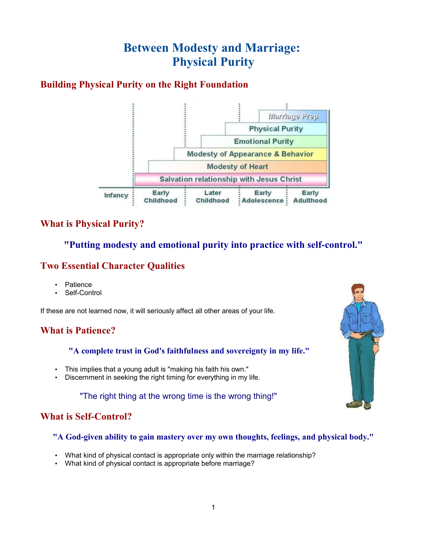# **Between Modesty and Marriage: Physical Purity**

# **Building Physical Purity on the Right Foundation**



### **What is Physical Purity?**

### **"Putting modesty and emotional purity into practice with self-control."**

### **Two Essential Character Qualities**

- **Patience**
- Self-Control

If these are not learned now, it will seriously affect all other areas of your life.

# **What is Patience?**

**"A complete trust in God's faithfulness and sovereignty in my life."**

- This implies that a young adult is "making his faith his own."
- Discernment in seeking the right timing for everything in my life.

"The right thing at the wrong time is the wrong thing!"

# **What is Self-Control?**

#### **"A God-given ability to gain mastery over my own thoughts, feelings, and physical body."**

- What kind of physical contact is appropriate only within the marriage relationship?
- What kind of physical contact is appropriate before marriage?